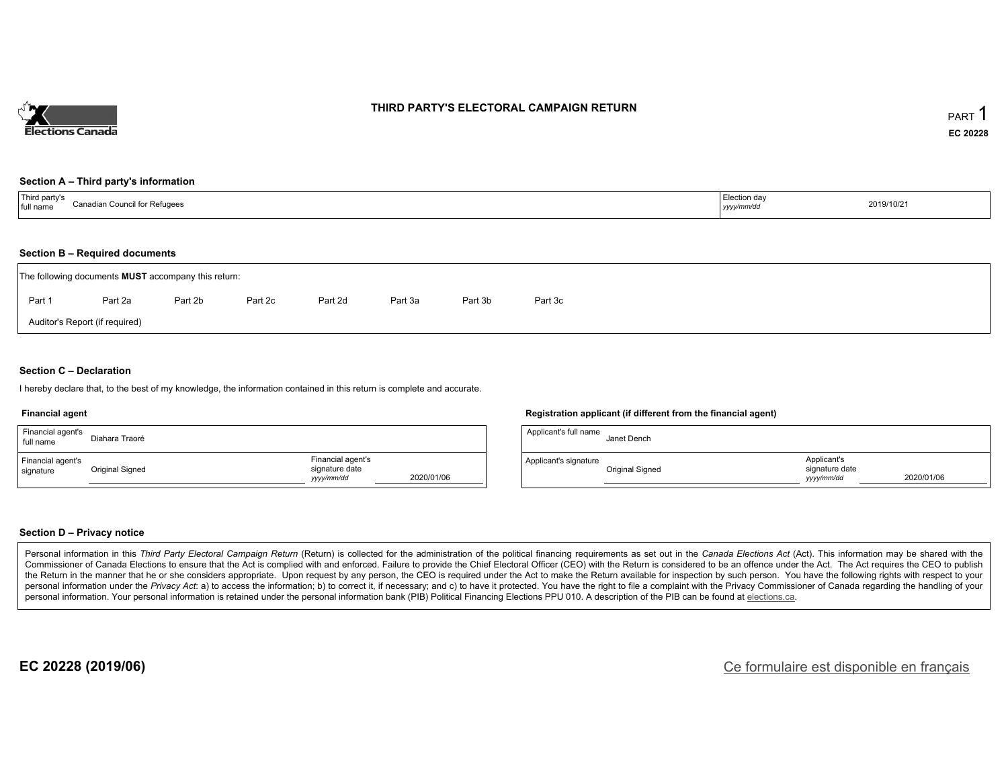

#### **THIRD PARTY'S ELECTORAL CAMPAIGN RETURN**

#### **Section A – Third party's information**

| $\mathsf{T}$ hird L<br>d partv':<br>Canadia<br><sup>i</sup> for Refugees<br>full nam<br>нн ∪. | Election day<br>yyyymm/a<br>$\sim$ $\sim$ | 2019/10/21 |
|-----------------------------------------------------------------------------------------------|-------------------------------------------|------------|
|-----------------------------------------------------------------------------------------------|-------------------------------------------|------------|

#### **Section B – Required documents**

| The following documents <b>MUST</b> accompany this return: |         |         |         |         |         |         |         |  |  |  |
|------------------------------------------------------------|---------|---------|---------|---------|---------|---------|---------|--|--|--|
| Part 1                                                     | Part 2a | Part 2b | Part 2c | Part 2d | Part 3a | Part 3b | Part 3c |  |  |  |
| Auditor's Report (if required)                             |         |         |         |         |         |         |         |  |  |  |

#### **Section C – Declaration**

I hereby declare that, to the best of my knowledge, the information contained in this return is complete and accurate.

#### **Financial agent**

| Financial agent's<br>full name | Diahara Traoré  |                                                   |            |
|--------------------------------|-----------------|---------------------------------------------------|------------|
| Financial agent's<br>signature | Original Signed | Financial agent's<br>signature date<br>yyyy/mm/dd | 2020/01/06 |

#### **Registration applicant (if different from the financial agent)**

| Applicant's full name | Janet Dench     |                                             |            |
|-----------------------|-----------------|---------------------------------------------|------------|
| Applicant's signature | Original Signed | Applicant's<br>signature date<br>vyyy/mm/dd | 2020/01/06 |

#### **Section D – Privacy notice**

Personal information in this Third Party Electoral Campaign Return (Return) is collected for the administration of the political financing requirements as set out in the Canada Elections Act (Act). This information may be Commissioner of Canada Elections to ensure that the Act is complied with and enforced. Failure to provide the Chief Electoral Officer (CEO) with the Return is considered to be an offence under the Act. The Act requires the the Return in the manner that he or she considers appropriate. Upon request by any person, the CEO is required under the Act to make the Return available for inspection by such person. You have the following rights with re personal information under the Privacy Act: a) to access the information; b) to correct it, if necessary; and c) to have it protected. You have the right to file a complaint with the Privacy Commissioner of Canada regardin personal information. Your personal information is retained under the personal information bank (PIB) Political Financing Elections PPU 010. A description of the PIB can be found at elections.ca.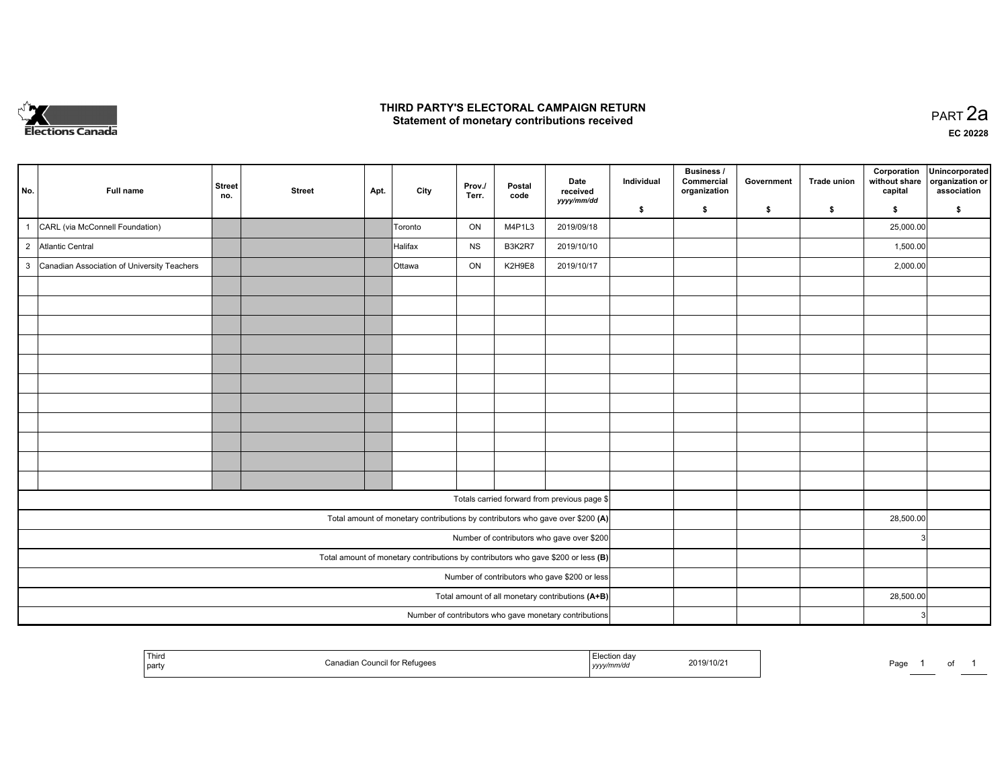

#### **THIRD PARTY'S ELECTORAL CAMPAIGN RETURN HIRD PARTY'S ELECTORAL CAMPAIGN RETURN<br>Statement of monetary contributions received PART 2a PART 2a**

| No.                                                                                 | Full name                                   | <b>Street</b><br>no.                             | <b>Street</b> | Apt. | City    | Prov./<br>Terr. | Postal<br>code | Date<br>received<br>yyyy/mm/dd                                                 | Individual | <b>Business /</b><br>Commercial<br>organization | Government | <b>Trade union</b> | Corporation<br>without share<br>capital | Unincorporated<br>organization or<br>association |
|-------------------------------------------------------------------------------------|---------------------------------------------|--------------------------------------------------|---------------|------|---------|-----------------|----------------|--------------------------------------------------------------------------------|------------|-------------------------------------------------|------------|--------------------|-----------------------------------------|--------------------------------------------------|
|                                                                                     |                                             |                                                  |               |      |         |                 |                |                                                                                | \$         | s.                                              | \$         | \$                 | \$                                      | \$                                               |
| $\overline{1}$                                                                      | CARL (via McConnell Foundation)             |                                                  |               |      | Toronto | ON              | M4P1L3         | 2019/09/18                                                                     |            |                                                 |            |                    | 25,000.00                               |                                                  |
|                                                                                     | 2 Atlantic Central                          |                                                  |               |      | Halifax | <b>NS</b>       | B3K2R7         | 2019/10/10                                                                     |            |                                                 |            |                    | 1,500.00                                |                                                  |
| $\mathbf{3}$                                                                        | Canadian Association of University Teachers |                                                  |               |      | Ottawa  | ON              | K2H9E8         | 2019/10/17                                                                     |            |                                                 |            |                    | 2,000.00                                |                                                  |
|                                                                                     |                                             |                                                  |               |      |         |                 |                |                                                                                |            |                                                 |            |                    |                                         |                                                  |
|                                                                                     |                                             |                                                  |               |      |         |                 |                |                                                                                |            |                                                 |            |                    |                                         |                                                  |
|                                                                                     |                                             |                                                  |               |      |         |                 |                |                                                                                |            |                                                 |            |                    |                                         |                                                  |
|                                                                                     |                                             |                                                  |               |      |         |                 |                |                                                                                |            |                                                 |            |                    |                                         |                                                  |
|                                                                                     |                                             |                                                  |               |      |         |                 |                |                                                                                |            |                                                 |            |                    |                                         |                                                  |
|                                                                                     |                                             |                                                  |               |      |         |                 |                |                                                                                |            |                                                 |            |                    |                                         |                                                  |
|                                                                                     |                                             |                                                  |               |      |         |                 |                |                                                                                |            |                                                 |            |                    |                                         |                                                  |
|                                                                                     |                                             |                                                  |               |      |         |                 |                |                                                                                |            |                                                 |            |                    |                                         |                                                  |
|                                                                                     |                                             |                                                  |               |      |         |                 |                |                                                                                |            |                                                 |            |                    |                                         |                                                  |
|                                                                                     |                                             |                                                  |               |      |         |                 |                |                                                                                |            |                                                 |            |                    |                                         |                                                  |
|                                                                                     |                                             |                                                  |               |      |         |                 |                |                                                                                |            |                                                 |            |                    |                                         |                                                  |
|                                                                                     |                                             |                                                  |               |      |         |                 |                | Totals carried forward from previous page \$                                   |            |                                                 |            |                    |                                         |                                                  |
|                                                                                     |                                             |                                                  |               |      |         |                 |                | Total amount of monetary contributions by contributors who gave over \$200 (A) |            |                                                 |            |                    | 28,500.00                               |                                                  |
|                                                                                     |                                             |                                                  |               |      |         |                 |                | Number of contributors who gave over \$200                                     |            |                                                 |            |                    | 3                                       |                                                  |
| Total amount of monetary contributions by contributors who gave \$200 or less $(B)$ |                                             |                                                  |               |      |         |                 |                |                                                                                |            |                                                 |            |                    |                                         |                                                  |
| Number of contributors who gave \$200 or less                                       |                                             |                                                  |               |      |         |                 |                |                                                                                |            |                                                 |            |                    |                                         |                                                  |
|                                                                                     |                                             | Total amount of all monetary contributions (A+B) |               |      |         | 28,500.00       |                |                                                                                |            |                                                 |            |                    |                                         |                                                  |
|                                                                                     |                                             |                                                  |               |      |         |                 |                | Number of contributors who gave monetary contributions                         |            |                                                 |            |                    | 3                                       |                                                  |

| Third<br>. partv | Refugees | .<br>yyyy/mm/aa | 2019/10/21 | Page |  | $\cdot$ |  |
|------------------|----------|-----------------|------------|------|--|---------|--|
|------------------|----------|-----------------|------------|------|--|---------|--|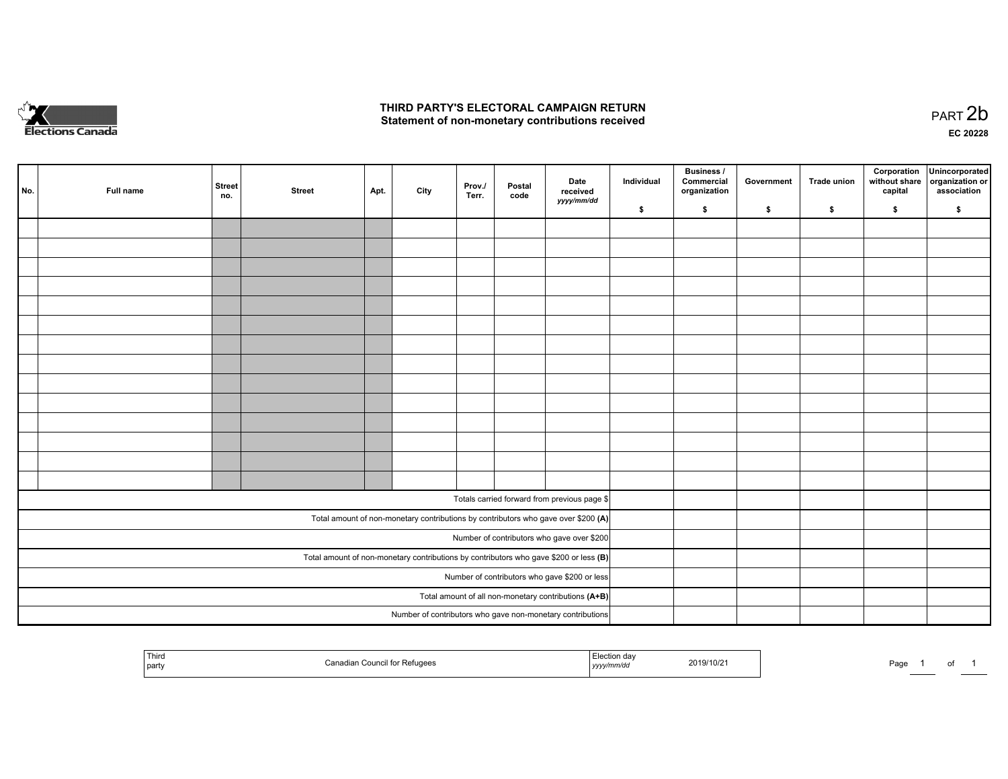

## **THIRD PARTY'S ELECTORAL CAMPAIGN RETURN**  THIRD PARTY'S ELECTORAL CAMPAIGN RETURN<br>Statement of non-monetary contributions received

of 1

| No. | Full name | <b>Street</b><br>no. | <b>Street</b> | Apt. | City | Prov./<br>Terr. | Postal<br>code | Date<br>received<br>yyyy/mm/dd                                                          | Individual | <b>Business /</b><br>Commercial<br>organization | Government | Trade union | Corporation<br>without share<br>capital | Unincorporated<br>organization or<br>association |  |  |
|-----|-----------|----------------------|---------------|------|------|-----------------|----------------|-----------------------------------------------------------------------------------------|------------|-------------------------------------------------|------------|-------------|-----------------------------------------|--------------------------------------------------|--|--|
|     |           |                      |               |      |      |                 |                |                                                                                         | \$         | \$                                              | \$         | \$          | \$                                      | \$                                               |  |  |
|     |           |                      |               |      |      |                 |                |                                                                                         |            |                                                 |            |             |                                         |                                                  |  |  |
|     |           |                      |               |      |      |                 |                |                                                                                         |            |                                                 |            |             |                                         |                                                  |  |  |
|     |           |                      |               |      |      |                 |                |                                                                                         |            |                                                 |            |             |                                         |                                                  |  |  |
|     |           |                      |               |      |      |                 |                |                                                                                         |            |                                                 |            |             |                                         |                                                  |  |  |
|     |           |                      |               |      |      |                 |                |                                                                                         |            |                                                 |            |             |                                         |                                                  |  |  |
|     |           |                      |               |      |      |                 |                |                                                                                         |            |                                                 |            |             |                                         |                                                  |  |  |
|     |           |                      |               |      |      |                 |                |                                                                                         |            |                                                 |            |             |                                         |                                                  |  |  |
|     |           |                      |               |      |      |                 |                |                                                                                         |            |                                                 |            |             |                                         |                                                  |  |  |
|     |           |                      |               |      |      |                 |                |                                                                                         |            |                                                 |            |             |                                         |                                                  |  |  |
|     |           |                      |               |      |      |                 |                |                                                                                         |            |                                                 |            |             |                                         |                                                  |  |  |
|     |           |                      |               |      |      |                 |                |                                                                                         |            |                                                 |            |             |                                         |                                                  |  |  |
|     |           |                      |               |      |      |                 |                |                                                                                         |            |                                                 |            |             |                                         |                                                  |  |  |
|     |           |                      |               |      |      |                 |                |                                                                                         |            |                                                 |            |             |                                         |                                                  |  |  |
|     |           |                      |               |      |      |                 |                |                                                                                         |            |                                                 |            |             |                                         |                                                  |  |  |
|     |           |                      |               |      |      |                 |                |                                                                                         |            |                                                 |            |             |                                         |                                                  |  |  |
|     |           |                      |               |      |      |                 |                | Totals carried forward from previous page \$                                            |            |                                                 |            |             |                                         |                                                  |  |  |
|     |           |                      |               |      |      |                 |                | Total amount of non-monetary contributions by contributors who gave over \$200 (A)      |            |                                                 |            |             |                                         |                                                  |  |  |
|     |           |                      |               |      |      |                 |                | Number of contributors who gave over \$200                                              |            |                                                 |            |             |                                         |                                                  |  |  |
|     |           |                      |               |      |      |                 |                | Total amount of non-monetary contributions by contributors who gave \$200 or less $(B)$ |            |                                                 |            |             |                                         |                                                  |  |  |
|     |           |                      |               |      |      |                 |                | Number of contributors who gave \$200 or less                                           |            |                                                 |            |             |                                         |                                                  |  |  |
|     |           |                      |               |      |      |                 |                | Total amount of all non-monetary contributions (A+B)                                    |            |                                                 |            |             |                                         |                                                  |  |  |
|     |           |                      |               |      |      |                 |                | Number of contributors who gave non-monetary contributions                              |            |                                                 |            |             |                                         |                                                  |  |  |
|     |           |                      |               |      |      |                 |                |                                                                                         |            |                                                 |            |             |                                         |                                                  |  |  |

| Third<br>Canadian Council for Refugees<br>party | -lection day<br>2019/10/21<br>√mm/da<br>,,,,, | Page<br>$\sim$ 100 $\mu$ |
|-------------------------------------------------|-----------------------------------------------|--------------------------|
|-------------------------------------------------|-----------------------------------------------|--------------------------|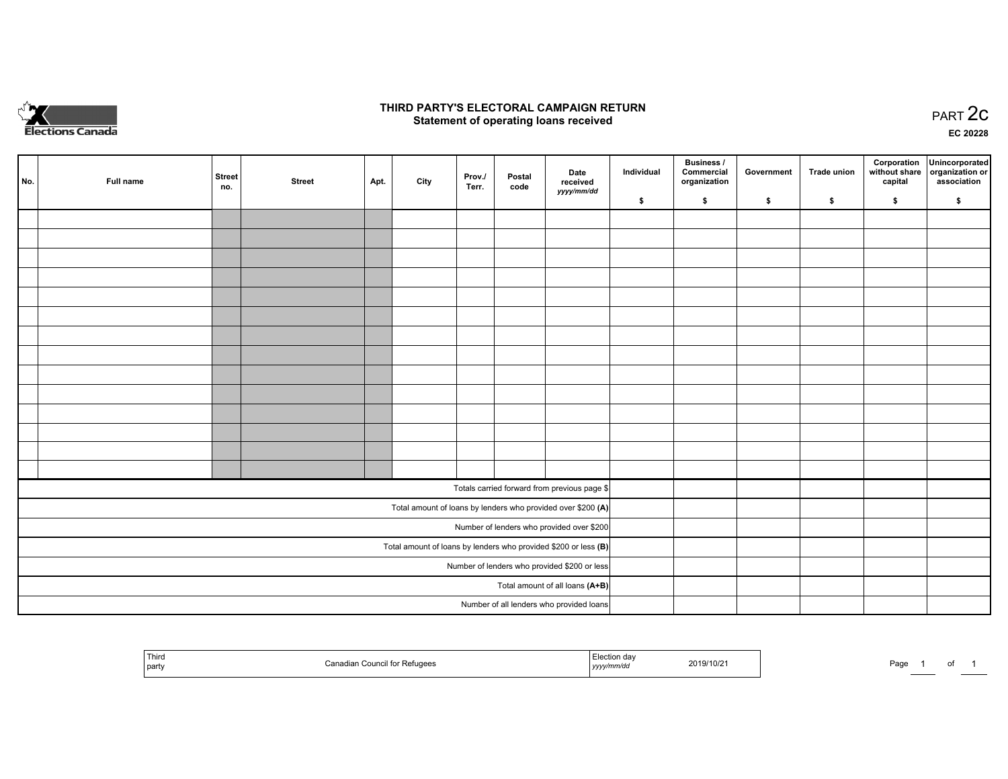

## **THIRD PARTY'S ELECTORAL CAMPAIGN RETURN STATE:** PRACT OF OPPRESS TO PART 2C STATE STATE STATE STATE STATE STATE STATE STATE STATE STATE STATE STATE STA<br>PART 2C Statement of operating loans received

**EC 20228**

|                                              | No. | Full name | <b>Street</b><br>no. | <b>Street</b> | Apt. | City | Prov./<br>Terr. | Postal<br>code | Date<br>received<br>yyyy/mm/dd                                    | Individual | Business /<br>Commercial<br>organization | Government | <b>Trade union</b> | Corporation<br>capital | Unincorporated<br>without share   organization or<br>association |
|----------------------------------------------|-----|-----------|----------------------|---------------|------|------|-----------------|----------------|-------------------------------------------------------------------|------------|------------------------------------------|------------|--------------------|------------------------|------------------------------------------------------------------|
|                                              |     |           |                      |               |      |      |                 |                |                                                                   | \$         | \$                                       | \$         | $\sqrt{2}$         | \$                     | \$                                                               |
|                                              |     |           |                      |               |      |      |                 |                |                                                                   |            |                                          |            |                    |                        |                                                                  |
|                                              |     |           |                      |               |      |      |                 |                |                                                                   |            |                                          |            |                    |                        |                                                                  |
|                                              |     |           |                      |               |      |      |                 |                |                                                                   |            |                                          |            |                    |                        |                                                                  |
|                                              |     |           |                      |               |      |      |                 |                |                                                                   |            |                                          |            |                    |                        |                                                                  |
|                                              |     |           |                      |               |      |      |                 |                |                                                                   |            |                                          |            |                    |                        |                                                                  |
|                                              |     |           |                      |               |      |      |                 |                |                                                                   |            |                                          |            |                    |                        |                                                                  |
|                                              |     |           |                      |               |      |      |                 |                |                                                                   |            |                                          |            |                    |                        |                                                                  |
|                                              |     |           |                      |               |      |      |                 |                |                                                                   |            |                                          |            |                    |                        |                                                                  |
|                                              |     |           |                      |               |      |      |                 |                |                                                                   |            |                                          |            |                    |                        |                                                                  |
|                                              |     |           |                      |               |      |      |                 |                |                                                                   |            |                                          |            |                    |                        |                                                                  |
|                                              |     |           |                      |               |      |      |                 |                |                                                                   |            |                                          |            |                    |                        |                                                                  |
|                                              |     |           |                      |               |      |      |                 |                |                                                                   |            |                                          |            |                    |                        |                                                                  |
|                                              |     |           |                      |               |      |      |                 |                |                                                                   |            |                                          |            |                    |                        |                                                                  |
|                                              |     |           |                      |               |      |      |                 |                |                                                                   |            |                                          |            |                    |                        |                                                                  |
|                                              |     |           |                      |               |      |      |                 |                | Totals carried forward from previous page \$                      |            |                                          |            |                    |                        |                                                                  |
|                                              |     |           |                      |               |      |      |                 |                | Total amount of loans by lenders who provided over \$200 (A)      |            |                                          |            |                    |                        |                                                                  |
|                                              |     |           |                      |               |      |      |                 |                | Number of lenders who provided over \$200                         |            |                                          |            |                    |                        |                                                                  |
|                                              |     |           |                      |               |      |      |                 |                | Total amount of loans by lenders who provided \$200 or less $(B)$ |            |                                          |            |                    |                        |                                                                  |
| Number of lenders who provided \$200 or less |     |           |                      |               |      |      |                 |                |                                                                   |            |                                          |            |                    |                        |                                                                  |
|                                              |     |           |                      |               |      |      |                 |                | Total amount of all loans (A+B)                                   |            |                                          |            |                    |                        |                                                                  |
|                                              |     |           |                      |               |      |      |                 |                | Number of all lenders who provided loans                          |            |                                          |            |                    |                        |                                                                  |

| <sup>1</sup> Thin<br>Council for I<br>`anadian<br>`party | Refugees<br>yyyy <i>nnnv</i> uu | 2019/10/2 | Danc<br>-ayt |  |  |  |
|----------------------------------------------------------|---------------------------------|-----------|--------------|--|--|--|
|----------------------------------------------------------|---------------------------------|-----------|--------------|--|--|--|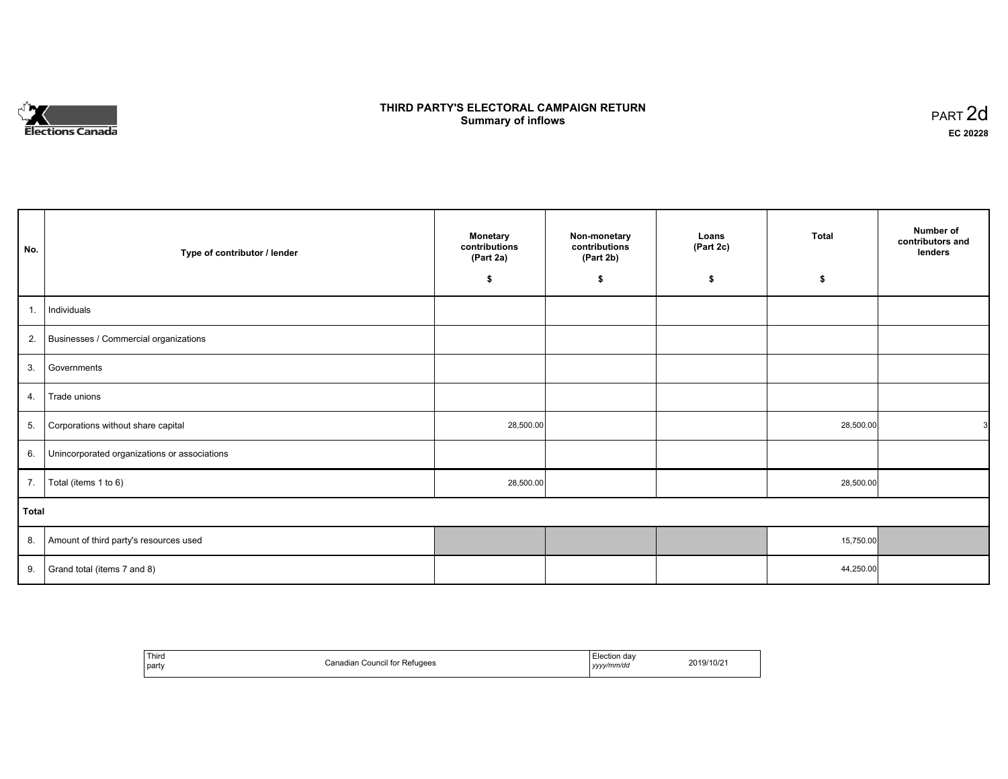# **Elections Canada**

## **THIRD PARTY'S ELECTORAL CAMPAIGN RETURN Summary of inflows**

| PART <sub>2d</sub> |  |
|--------------------|--|
| EC 20228           |  |

| No.            | Type of contributor / lender                 | <b>Monetary</b><br>contributions<br>(Part 2a) |    | Loans<br>(Part 2c) | <b>Total</b> | Number of<br>contributors and<br>lenders |
|----------------|----------------------------------------------|-----------------------------------------------|----|--------------------|--------------|------------------------------------------|
|                |                                              | \$                                            | \$ | \$                 | \$           |                                          |
| $\mathbf{1}$ . | Individuals                                  |                                               |    |                    |              |                                          |
| 2.             | Businesses / Commercial organizations        |                                               |    |                    |              |                                          |
| 3.             | Governments                                  |                                               |    |                    |              |                                          |
| 4.             | Trade unions                                 |                                               |    |                    |              |                                          |
| 5.             | Corporations without share capital           | 28,500.00                                     |    |                    | 28,500.00    | 3                                        |
| 6.             | Unincorporated organizations or associations |                                               |    |                    |              |                                          |
| 7.             | Total (items 1 to 6)                         | 28,500.00                                     |    |                    | 28,500.00    |                                          |
| <b>Total</b>   |                                              |                                               |    |                    |              |                                          |
| 8.             | Amount of third party's resources used       |                                               |    |                    | 15,750.00    |                                          |
| 9.             | Grand total (items 7 and 8)                  |                                               |    |                    | 44,250.00    |                                          |

| Third<br>party | $-$<br>ouncil for<br>:etugees | lection day<br>.<br>yyyy/mm/dd<br>,,,, | $1110\leq$ |
|----------------|-------------------------------|----------------------------------------|------------|
|----------------|-------------------------------|----------------------------------------|------------|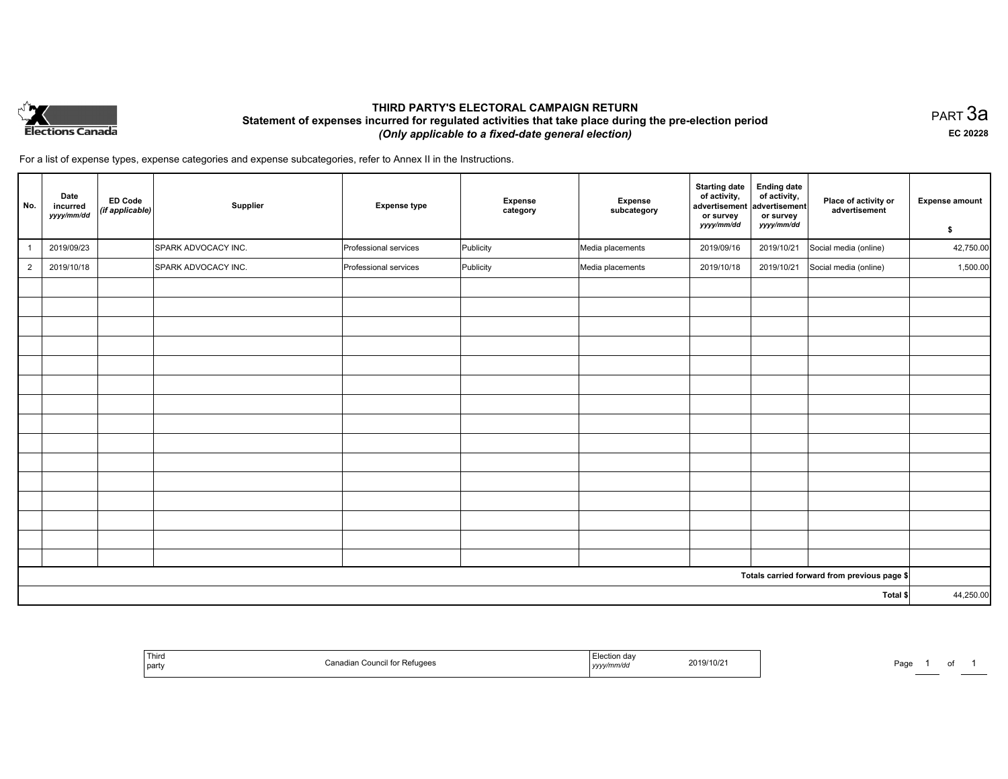

## **THIRD PARTY'S ELECTORAL CAMPAIGN RETURN Statement of expenses incurred for regulated activities that take place during the pre-election period**  *(Only applicable to a fixed-date general election)*

PART 3a **EC 20228**

For a list of expense types, expense categories and expense subcategories, refer to Annex II in the Instructions.

| No.            | Date<br>incurred<br>yyyy/mm/dd | ED Code<br>(if applicable) | Supplier            | <b>Expense type</b>   | Expense<br>category | Expense<br>subcategory | <b>Starting date</b><br>of activity,<br>advertisement<br>or survey<br>yyyy/mm/dd | <b>Ending date</b><br>of activity,<br>advertisement<br>or survey<br>yyyy/mm/dd | Place of activity or<br>advertisement        | <b>Expense amount</b><br>\$ |
|----------------|--------------------------------|----------------------------|---------------------|-----------------------|---------------------|------------------------|----------------------------------------------------------------------------------|--------------------------------------------------------------------------------|----------------------------------------------|-----------------------------|
|                | 2019/09/23                     |                            | SPARK ADVOCACY INC. | Professional services | Publicity           | Media placements       | 2019/09/16                                                                       | 2019/10/21                                                                     | Social media (online)                        | 42,750.00                   |
| $\overline{2}$ | 2019/10/18                     |                            | SPARK ADVOCACY INC. | Professional services | Publicity           | Media placements       | 2019/10/18                                                                       | 2019/10/21                                                                     | Social media (online)                        | 1,500.00                    |
|                |                                |                            |                     |                       |                     |                        |                                                                                  |                                                                                |                                              |                             |
|                |                                |                            |                     |                       |                     |                        |                                                                                  |                                                                                |                                              |                             |
|                |                                |                            |                     |                       |                     |                        |                                                                                  |                                                                                |                                              |                             |
|                |                                |                            |                     |                       |                     |                        |                                                                                  |                                                                                |                                              |                             |
|                |                                |                            |                     |                       |                     |                        |                                                                                  |                                                                                |                                              |                             |
|                |                                |                            |                     |                       |                     |                        |                                                                                  |                                                                                |                                              |                             |
|                |                                |                            |                     |                       |                     |                        |                                                                                  |                                                                                |                                              |                             |
|                |                                |                            |                     |                       |                     |                        |                                                                                  |                                                                                |                                              |                             |
|                |                                |                            |                     |                       |                     |                        |                                                                                  |                                                                                |                                              |                             |
|                |                                |                            |                     |                       |                     |                        |                                                                                  |                                                                                |                                              |                             |
|                |                                |                            |                     |                       |                     |                        |                                                                                  |                                                                                |                                              |                             |
|                |                                |                            |                     |                       |                     |                        |                                                                                  |                                                                                |                                              |                             |
|                |                                |                            |                     |                       |                     |                        |                                                                                  |                                                                                |                                              |                             |
|                |                                |                            |                     |                       |                     |                        |                                                                                  |                                                                                |                                              |                             |
|                |                                |                            |                     |                       |                     |                        |                                                                                  |                                                                                |                                              |                             |
|                |                                |                            |                     |                       |                     |                        |                                                                                  |                                                                                | Totals carried forward from previous page \$ |                             |
| Total \$       |                                |                            |                     |                       | 44,250.00           |                        |                                                                                  |                                                                                |                                              |                             |

| <sup>l</sup> Thira<br>l party | adian Co⊔ncil<br>:il tor Retugees | ntion da∿<br>r r<br>2019/10/21<br>,,,,, | Page |
|-------------------------------|-----------------------------------|-----------------------------------------|------|
|-------------------------------|-----------------------------------|-----------------------------------------|------|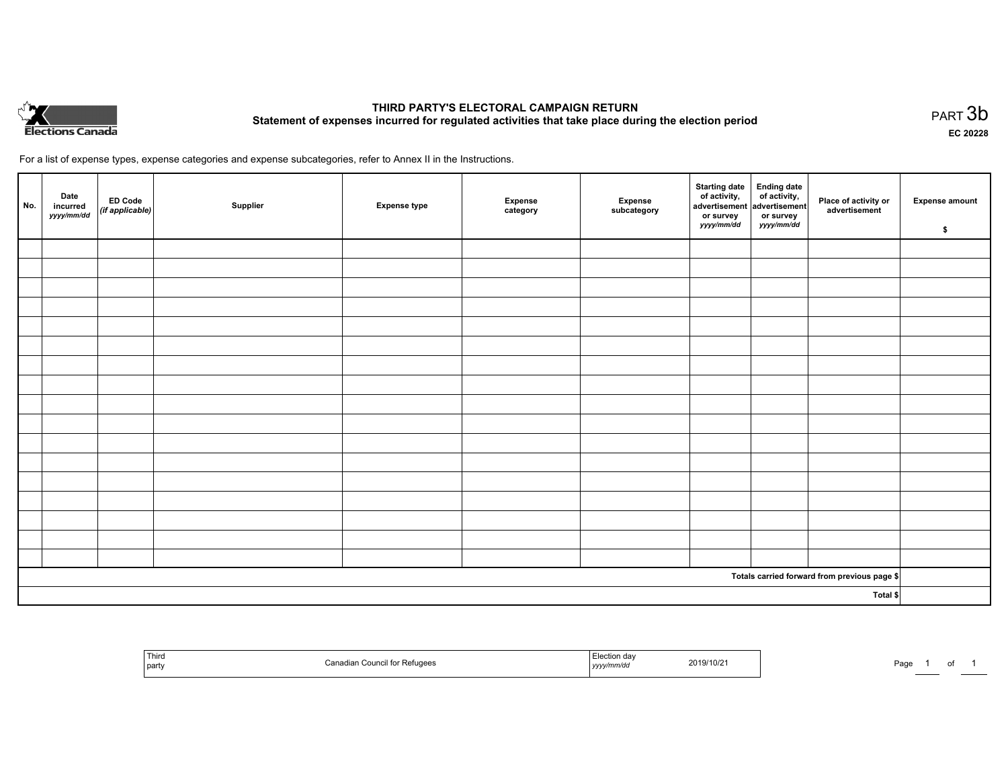

# **THIRD PARTY'S ELECTORAL CAMPAIGN RETURN Statement of expenses incurred for regulated activities that take place during the election period**<br>PART  $3b$

**EC 20228**

For a list of expense types, expense categories and expense subcategories, refer to Annex II in the Instructions.

| No.      | Date<br>incurred<br>yyyy/mm/dd | ED Code<br>(if applicable) | Supplier | <b>Expense type</b> | Expense<br>category | Expense<br>subcategory | Starting date Ending date<br>of activity, of activity,<br>advertisement advertisement<br>or survey<br>yyyy/mm/dd | or survey<br>yyyy/mm/dd | Place of activity or<br>advertisement        | <b>Expense amount</b><br>\$ |
|----------|--------------------------------|----------------------------|----------|---------------------|---------------------|------------------------|------------------------------------------------------------------------------------------------------------------|-------------------------|----------------------------------------------|-----------------------------|
|          |                                |                            |          |                     |                     |                        |                                                                                                                  |                         |                                              |                             |
|          |                                |                            |          |                     |                     |                        |                                                                                                                  |                         |                                              |                             |
|          |                                |                            |          |                     |                     |                        |                                                                                                                  |                         |                                              |                             |
|          |                                |                            |          |                     |                     |                        |                                                                                                                  |                         |                                              |                             |
|          |                                |                            |          |                     |                     |                        |                                                                                                                  |                         |                                              |                             |
|          |                                |                            |          |                     |                     |                        |                                                                                                                  |                         |                                              |                             |
|          |                                |                            |          |                     |                     |                        |                                                                                                                  |                         |                                              |                             |
|          |                                |                            |          |                     |                     |                        |                                                                                                                  |                         |                                              |                             |
|          |                                |                            |          |                     |                     |                        |                                                                                                                  |                         |                                              |                             |
|          |                                |                            |          |                     |                     |                        |                                                                                                                  |                         |                                              |                             |
|          |                                |                            |          |                     |                     |                        |                                                                                                                  |                         |                                              |                             |
|          |                                |                            |          |                     |                     |                        |                                                                                                                  |                         |                                              |                             |
|          |                                |                            |          |                     |                     |                        |                                                                                                                  |                         |                                              |                             |
|          |                                |                            |          |                     |                     |                        |                                                                                                                  |                         |                                              |                             |
|          |                                |                            |          |                     |                     |                        |                                                                                                                  |                         |                                              |                             |
|          |                                |                            |          |                     |                     |                        |                                                                                                                  |                         |                                              |                             |
|          |                                |                            |          |                     |                     |                        |                                                                                                                  |                         |                                              |                             |
|          |                                |                            |          |                     |                     |                        |                                                                                                                  |                         | Totals carried forward from previous page \$ |                             |
| Total \$ |                                |                            |          |                     |                     |                        |                                                                                                                  |                         |                                              |                             |

| ' Third<br>Canadian Council for Refugees<br>party | Election dav<br>2019/10/21<br>$\cdots$<br>$ $ yyyy $\mu$ $\mu$ | Pag |
|---------------------------------------------------|----------------------------------------------------------------|-----|
|---------------------------------------------------|----------------------------------------------------------------|-----|